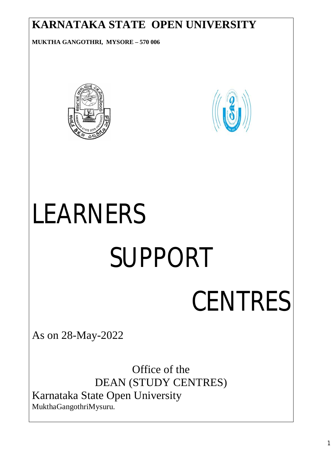#### **KARNATAKA STATE OPEN UNIVERSITY**

**MUKTHA GANGOTHRI, MYSORE – 570 006**





# *LEARNERS*

## *SUPPORT*

### *CENTRES*

As on 28-May-2022

Office of the DEAN (STUDY CENTRES) Karnataka State Open University MukthaGangothriMysuru.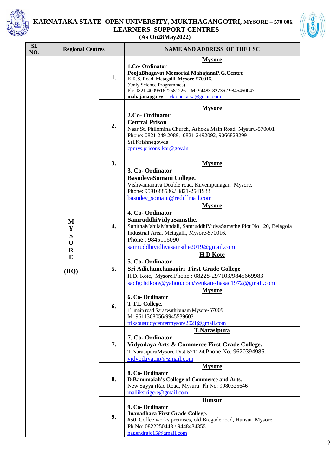

#### **KARNATAKA STATE OPEN UNIVERSITY, MUKTHAGANGOTRI, MYSORE – 570 006. LEARNERS SUPPORT CENTRES (As On28May2022)**



| SI.<br>NO. | <b>Regional Centres</b>    |                  | <b>NAME AND ADDRESS OF THE LSC</b>                                                                                                                                                                                                                   |
|------------|----------------------------|------------------|------------------------------------------------------------------------------------------------------------------------------------------------------------------------------------------------------------------------------------------------------|
|            |                            | 1.               | <b>Mysore</b><br>1.Co-Ordinator<br>PoojaBhagavat Memorial MahajanaP.G.Centre<br>K.R.S. Road, Metagalli, Mysore-570016,<br>(Only Science Programmes)<br>Ph: 0821-4009616 /2581226 M: 94483-82736 / 9845460047<br>mahajanapg.org ckrenukarya@gmail.com |
|            |                            | 2.               | <b>Mysore</b><br>2.Co- Ordinator<br><b>Central Prison</b><br>Near St. Philomina Church, Ashoka Main Road, Mysuru-570001<br>Phone: 0821 249 2089, 0821-2492092, 9066828299<br>Sri.Krishnegowda<br>cpmys.prisons- $kar@gov.in$                         |
|            |                            | 3.               | <b>Mysore</b>                                                                                                                                                                                                                                        |
|            |                            |                  | 3. Co-Ordinator<br>BasudevaSomani College.<br>Vishwamanava Double road, Kuvempunagar, Mysore.<br>Phone: 9591688536./0821-2541933<br>basudev somani@rediffmail.com                                                                                    |
|            | M<br>Y<br>S<br>$\mathbf 0$ | $\overline{4}$ . | <b>Mysore</b><br>4. Co-Ordinator<br>SamruddhiVidyaSamsthe.<br>SunithaMahilaMandali, SamruddhiVidyaSamsthe Plot No 120, Belagola<br>Industrial Area, Metagalli, Mysore-570016.<br>Phone: 9845116090                                                   |
|            | $\mathbf R$                |                  | samruddhividhyasamsthe2019@gmail.com                                                                                                                                                                                                                 |
|            | E<br>(HQ)                  | 5.               | <b>H.D Kote</b><br>5. Co-Ordinator<br>Sri Adichunchanagiri First Grade College<br>H.D. Kote, Mysore.Phone: 08228-297103/9845669983<br>sacfgchdkote@yahoo.com/venkateshasac1972@gmail.com                                                             |
|            |                            | 6.               | <b>Mysore</b><br>6. Co-Ordinator<br>T.T.L College.<br>1 <sup>st</sup> main road Saraswathipuram Mysore-57009<br>M: 9611368056/9945539603<br>ttlksoustudycentermysore2021@gmail.com                                                                   |
|            |                            | 7.               | <b>T.Narasipura</b><br>7. Co-Ordinator<br>Vidyodaya Arts & Commerce First Grade College.<br>T.NarasipuraMysore Dist-571124.Phone No. 9620394986.<br>vidyodayatnp@gmail.com                                                                           |
|            |                            | 8.               | <b>Mysore</b><br>8. Co-Ordinator<br>D.Banumaiah's College of Commerce and Arts.<br>New SayyajiRao Road, Mysuru. Ph No: 9980325646<br>malliksirigere@gmail.com                                                                                        |
|            |                            | 9.               | <b>Hunsur</b><br>9. Co-Ordinator<br>Jnanadhara First Grade College.<br>#50, Coffee works premises, old Bregade road, Hunsur, Mysore.<br>Ph No: 0822250443 / 9448434355<br>nagendrajc15@gmail.com                                                     |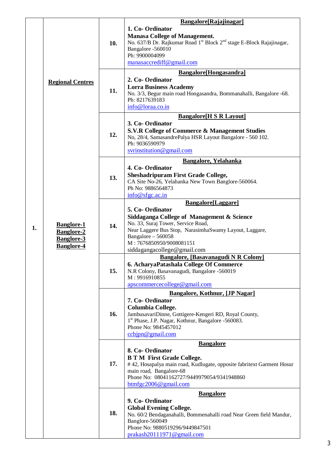|    |                                                                                                             |     | Bangalore[Rajajinagar]                                                                                                                                                                                                                                               |
|----|-------------------------------------------------------------------------------------------------------------|-----|----------------------------------------------------------------------------------------------------------------------------------------------------------------------------------------------------------------------------------------------------------------------|
|    |                                                                                                             | 10. | 1. Co-Ordinator<br><b>Manasa College of Management.</b><br>No. 637/B Dr. Rajkumar Road 1 <sup>st</sup> Block 2 <sup>nd</sup> stage E-Block Rajajinagar,<br>Bangalore -560010<br>Ph: 9900004099<br>manasaccrediff@gmail.com                                           |
|    |                                                                                                             |     |                                                                                                                                                                                                                                                                      |
| 1. | <b>Regional Centres</b><br><b>Banglore-1</b><br><b>Banglore-2</b><br><b>Banglore-3</b><br><b>Banglore-4</b> | 11. | Bangalore[Hongasandra]<br>2. Co-Ordinator<br><b>Lorra Business Academy</b><br>No. 3/3, Begur main road Hongasandra, Bommanahalli, Bangalore -68.<br>Ph: 8217639183<br>info@loraa.co.in                                                                               |
|    |                                                                                                             | 12. | <b>Bangalore</b> [H S R Layout]<br>3. Co-Ordinator<br>S.V.R College of Commerce & Management Studies<br>No, 28/4, SamasandrePalya HSR Layout Bangalore - 560 102.<br>Ph: 9036590979<br>svrinstitution@gmail.com                                                      |
|    |                                                                                                             | 13. | <b>Bangalore, Yelahanka</b><br>4. Co-Ordinator<br><b>Sheshadripuram First Grade College,</b><br>CA Site No-26, Yelahanka New Town Banglore-560064.<br>Ph No: 9886564873<br>info@sfgc.ac.in                                                                           |
|    |                                                                                                             | 14. | Bangalore[Laggare]<br>5. Co-Ordinator<br>Siddaganga College of Management & Science<br>No. 33, Suraj Tower, Service Road,<br>Near Laggere Bus Stop, NarasimhaSwamy Layout, Laggare,<br>Bangalore - 560058<br>M: 7676850950/9008081151<br>siddagangacollege@gmail.com |
|    |                                                                                                             | 15. | Bangalore, [Basavanagudi N R Colony]<br>6. AcharyaPatashala College Of Commerce<br>N.R Colony, Basavanagudi, Bangalore -560019<br>M: 9916910855<br>apscommercecollege@gmail.com                                                                                      |
|    |                                                                                                             | 16. | <b>Bangalore, Kothnur, [JP Nagar]</b><br>7. Co-Ordinator<br><b>Columbia College.</b><br>JambusavariDinne, Gottigere-Kengeri RD, Royal County,<br>1 <sup>st</sup> Phase, J.P. Nagar, Kothnur, Bangalore -560083.<br>Phone No: 9845457012<br>ccbipn@gmail.com          |
|    |                                                                                                             | 17. | <b>Bangalore</b><br>8. Co-Ordinator<br><b>B T M First Grade College.</b><br>#42, Hosapalya main road, Kudlugate, opposite fabritext Garment Hosur<br>main road, Bangalore-68<br>Phone No: 08041162727/9449979054/9341948860<br>btmfgc2006@gmail.com                  |
|    |                                                                                                             | 18. | <b>Bangalore</b><br>9. Co-Ordinator<br><b>Global Evening College.</b><br>No. 60/2 Bendaganahalli, Bommenahalli road Near Green field Mandur,<br>Banglore-560049<br>Phone No: 9880519296/9449847501<br>prakash20111971@gmail.com                                      |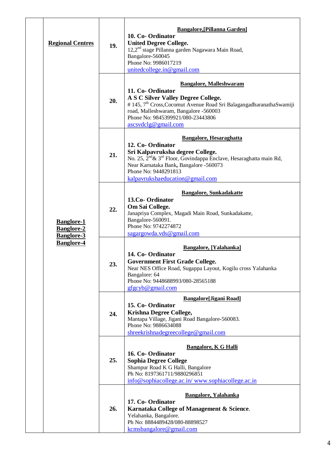|  | <b>Regional Centres</b>                                                          | 19. | <b>Bangalore, [Pillanna Garden]</b><br>10. Co-Ordinator<br><b>United Degree College.</b><br>12,2 <sup>nd</sup> stage Pillanna garden Nagawara Main Road,<br>Bangalore-560045<br>Phone No: 9986017219<br>unitedcollege.in@gmail.com                                                        |
|--|----------------------------------------------------------------------------------|-----|-------------------------------------------------------------------------------------------------------------------------------------------------------------------------------------------------------------------------------------------------------------------------------------------|
|  | <b>Banglore-1</b><br><b>Banglore-2</b><br><b>Banglore-3</b><br><b>Banglore-4</b> | 20. | <b>Bangalore, Malleshwaram</b><br>11. Co-Ordinator<br>A S C Silver Valley Degree College.<br># 145, 7 <sup>th</sup> Cross, Cocomut Avenue Road Sri BalagangadharanathaSwamiji<br>road, Malleshwaram, Bangalore -560003<br>Phone No: 9845399921/080-23443806<br>ascsvdclg@gmail.com        |
|  |                                                                                  | 21. | <b>Bangalore, Hesaraghatta</b><br>12. Co-Ordinator<br>Sri Kalpavruksha degree College.<br>No. 25, 2 <sup>nd</sup> & 3 <sup>rd</sup> Floor, Govindappa Enclave, Hesaraghatta main Rd,<br>Near Karnataka Bank, Bangalore -560073<br>Phone No: 9448291813<br>kalpavrukshaeducation@gmail.com |
|  |                                                                                  | 22. | <b>Bangalore, Sunkadakatte</b><br>13.Co-Ordinator<br>Om Sai College.<br>Janapriya Complex, Magadi Main Road, Sunkadakatte,<br>Bangalore-560091.<br>Phone No: 9742274872<br>sagargowda.vds@gmail.com                                                                                       |
|  |                                                                                  | 23. | <b>Bangalore, [Yalahanka]</b><br>14. Co-Ordinator<br><b>Government First Grade College.</b><br>Near NES Office Road, Sugappa Layout, Kogilu cross Yalahanka<br>Bangalore: 64<br>Phone No: 9448688993/080-28565188<br>gfgcyb@gmail.com                                                     |
|  |                                                                                  | 24. | <b>Bangalore[Jigani Road]</b><br>15. Co-Ordinator<br>Krishna Degree College,<br>Mantapa Village, Jigani Road Bangalore-560083.<br>Phone No: 9886634088<br>shreekrishnadegreecollege@gmail.com                                                                                             |
|  |                                                                                  | 25. | <b>Bangalore, K G Halli</b><br>16. Co-Ordinator<br><b>Sophia Degree College</b><br>Shampur Road K G Halli, Bangalore<br>Ph No: 8197361711/9880296851<br>info@sophiacollege.ac.in/www.sophiacollege.ac.in                                                                                  |
|  |                                                                                  | 26. | <b>Bangalore, Yalahanka</b><br>17. Co-Ordinator<br>Karnataka College of Management & Science.<br>Yelahanka, Bangalore.<br>Ph No: 8884489428/080-88898527<br>kcmsbangalore@gmail.com                                                                                                       |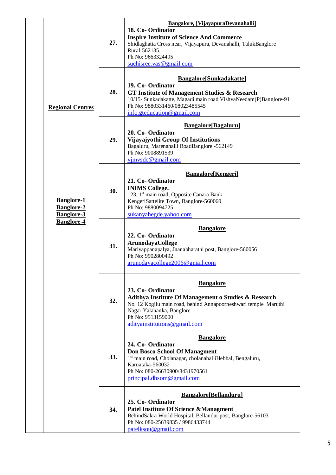|  |                                                             | 27. | Bangalore, [VijayapuraDevanahalli]<br>18. Co-Ordinator<br><b>Inspire Institute of Science And Commerce</b><br>Shidlaghatta Cross near, Vijayapura, Devanahalli, TalukBanglore<br>Rural-562135.<br>Ph No: 9663324495<br>suchisree.vas@gmail.com      |
|--|-------------------------------------------------------------|-----|-----------------------------------------------------------------------------------------------------------------------------------------------------------------------------------------------------------------------------------------------------|
|  | <b>Regional Centres</b>                                     | 28. | <b>Bangalore</b> [Sunkadakatte]<br>19. Co-Ordinator<br><b>GT Institute of Management Studies &amp; Research</b><br>10/15- Sunkadakatte, Magadi main road, VishvaNeedam(P)Banglore-91<br>Ph No: 9880331460/08023485545<br>info.gteducation@gmail.com |
|  |                                                             | 29. | <b>Bangalore</b> [Bagaluru]<br>20. Co-Ordinator<br>Vijayajyothi Group Of Institutions<br>Bagaluru, Marenahalli RoadBanglore -562149<br>Ph No: 9008891539<br>$y$ jmysdc@gmail.com                                                                    |
|  | <b>Banglore-1</b><br><b>Banglore-2</b><br><b>Banglore-3</b> | 30. | <b>Bangalore</b> [Kengeri]<br>21. Co-Ordinator<br><b>INIMS College.</b><br>123, 1 <sup>st</sup> main road, Opposite Canara Bank<br>KengeriSattelite Town, Banglore-560060<br>Ph No: 9880094725<br>sukanyahegde.yahoo.com                            |
|  | <b>Banglore-4</b>                                           | 31. | <b>Bangalore</b><br>22. Co-Ordinator<br><b>ArunodayaCollege</b><br>Mariyappanapalya, Jnanabharathi post, Banglore-560056<br>Ph No: 9902800492<br>arunodayacollege2006@gmail.com                                                                     |
|  |                                                             | 32. | <b>Bangalore</b><br>23. Co-Ordinator<br>Adithya Institute Of Management o Studies & Research<br>No. 12 Kogilu main road, behind Annapoorneshwari temple Maruthi<br>Nagar Yalahanka, Banglore<br>Ph No: 9513159000<br>adityainstitutions@gmail.com   |
|  |                                                             | 33. | <b>Bangalore</b><br>24. Co-Ordinator<br><b>Don Bosco School Of Managment</b><br>1 <sup>st</sup> main road, Cholanagar, cholanahalliHebbal, Bengaluru,<br>Karnataka-560032<br>Ph No: 080-26630900/8431970561<br>principal.dbsom@gmail.com            |
|  |                                                             | 34. | <b>Bangalore</b> [Bellanduru]<br>25. Co-Ordinator<br><b>Patel Institute Of Science &amp;Managment</b><br>BehindSakra World Hospital, Bellandur post, Banglore-56103<br>Ph No: 080-25639835 / 9986433744<br>patelksou@gmail.com                      |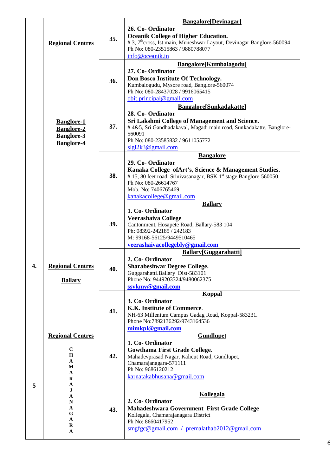|    | <b>Regional Centres</b>                                                                                      | 35. | <b>Bangalore</b> [Devinagar]<br>26. Co-Ordinator<br><b>Oceanik College of Higher Education.</b><br># 3, 7 <sup>th</sup> cross, Ist main, Muneshwar Layout, Devinagar Banglore-560094<br>Ph No: 080-23515863 / 9880788077<br>info@oceanik.in              |
|----|--------------------------------------------------------------------------------------------------------------|-----|----------------------------------------------------------------------------------------------------------------------------------------------------------------------------------------------------------------------------------------------------------|
|    |                                                                                                              | 36. | <b>Bangalore[Kumbalagodu]</b><br>27. Co-Ordinator<br>Don Bosco Institute Of Technology.<br>Kumbalogudu, Mysore road, Banglore-560074<br>Ph No: 080-28437028 / 9916065415<br>dbit.principal@gmail.com                                                     |
|    | <b>Banglore-1</b><br><b>Banglore-2</b><br><b>Banglore-3</b><br><b>Banglore-4</b>                             | 37. | <b>Bangalore[Sunkadakatte]</b><br>28. Co-Ordinator<br>Sri Lakshmi College of Management and Science.<br>#4&5, Sri Gandhadakaval, Magadi main road, Sunkadakatte, Banglore-<br>560091<br>Ph No: 080-23585832 / 9611055772<br>slgi2k3@gmail.com            |
|    |                                                                                                              | 38. | <b>Bangalore</b><br>29. Co-Ordinator<br>Kanaka College of Art's, Science & Management Studies.<br>#15, 80 feet road, Srinivasanagar, BSK 1 <sup>st</sup> stage Banglore-560050.<br>Ph No: 080-26614767<br>Mob. No: 7406765469<br>kanakacollege@gmail.com |
| 4. | <b>Regional Centres</b><br><b>Ballary</b>                                                                    | 39. | <b>Ballary</b><br>1. Co-Ordinator<br>Veerashaiva College<br>Cantonment, Hosapete Road, Ballary-583 104<br>Ph: 08392-242185 / 242183<br>M: 99168-56125/9449510465<br>veerashaivacollegebly@gmail.com                                                      |
|    |                                                                                                              | 40. | Ballary[Guggarahatti]<br>2. Co-Ordinator<br><b>Sharabeshwar Degree College.</b><br>Guggarahatti.Ballary Dist-583101<br>Phone No: 9449203324/9480062375<br>ssykmy@gmail.com                                                                               |
|    |                                                                                                              | 41. | <b>Koppal</b><br>3. Co-Ordinator<br>K.K. Institute of Commerce.<br>NH-63 Millenium Campus Gadag Road, Koppal-583231.<br>Phone No:7892136292/9743164536<br>mimkpl@gmail.com                                                                               |
| 5  | <b>Regional Centres</b><br>$\mathbf C$<br>H<br>A<br>М<br>A<br>R<br>A<br>J<br>A<br>N<br>A<br>G<br>A<br>R<br>A | 42. | <b>Gundlupet</b><br>1. Co-Ordinator<br><b>Gowthama First Grade College.</b><br>Mahadevprasad Nagar, Kalicut Road, Gundlupet,<br>Chamarajanagara-571111<br>Ph No: 9686120212<br>karnatakabhusana@gmail.com                                                |
|    |                                                                                                              | 43. | Kollegala<br>2. Co-Ordinator<br>Mahadeshwara Government First Grade College<br>Kollegala, Chamarajanagara District<br>Ph No: 8660417952<br>$smgfgc@gmail.com$ / premalathab2012@gmail.com                                                                |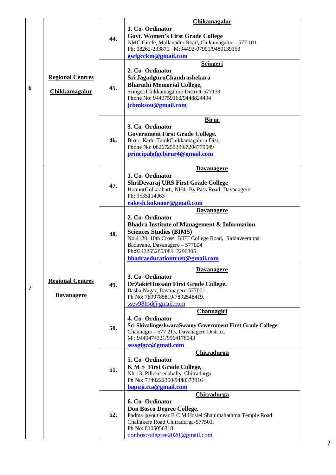| <b>Govt. Women's First Grade College</b><br>44.<br>NMC Circle, Mallanadur Road, Chikamagalur - 577 101<br>Ph: 08262-233871 M:94492-07991/9480139153<br>gwfgcckm@gmail.com<br><b>Sringeri</b><br>2. Co-Ordinator<br><b>Regional Centres</b><br>Sri JagadguruChandrashekara<br><b>Bharathi Memorial College,</b><br>45.<br>6<br>Chikkamagalur<br>SringeriChikkamagalore District-577139<br>Phone No: 9449759160/9448824494<br>jcbmksou@gmail.com<br><b>Birur</b><br>3. Co-Ordinator<br><b>Government First Grade College.</b><br>46.<br>Birur, KadurTalukChikkamagaluru Dist.<br>Phone No: 08267255399/7204779549<br>principalgfgcbirur4@gmail.com<br><b>Davanagere</b><br>1. Co-Ordinator<br>ShriDevaraj URS First Grade College<br>47.<br>HonnurGollarahatti, NH4- By Pass Road. Davanagere<br>Ph: 9535114063<br>rakesh.koknoor@gmail.com<br><b>Davanagere</b><br>2. Co-Ordinator<br><b>Bhadra Institute of Management &amp; Information</b><br><b>Sciences Studies (BIMS)</b><br>48.<br>No.4120, 10th Cross, BIET College Road, Siddaveerappa<br>Badavane, Davanagere - 577004<br>Ph:9242255280/08912296305<br>bhadraeducationtrust@gmail.com<br><b>Davanagere</b><br>3. Co-Ordinator<br><b>Regional Centres</b><br>DrZakirHussain First Grade College.<br>49.<br>7<br>Basha Nagar, Davanagere-577001.<br><b>Davanagere</b><br>Ph No: 7899785819/7892548419.<br>ssev98hsd@gmail.com |  |  |     | <b>Chikamagalur</b><br>1. Co-Ordinator |
|--------------------------------------------------------------------------------------------------------------------------------------------------------------------------------------------------------------------------------------------------------------------------------------------------------------------------------------------------------------------------------------------------------------------------------------------------------------------------------------------------------------------------------------------------------------------------------------------------------------------------------------------------------------------------------------------------------------------------------------------------------------------------------------------------------------------------------------------------------------------------------------------------------------------------------------------------------------------------------------------------------------------------------------------------------------------------------------------------------------------------------------------------------------------------------------------------------------------------------------------------------------------------------------------------------------------------------------------------------------------------------------|--|--|-----|----------------------------------------|
|                                                                                                                                                                                                                                                                                                                                                                                                                                                                                                                                                                                                                                                                                                                                                                                                                                                                                                                                                                                                                                                                                                                                                                                                                                                                                                                                                                                      |  |  |     |                                        |
|                                                                                                                                                                                                                                                                                                                                                                                                                                                                                                                                                                                                                                                                                                                                                                                                                                                                                                                                                                                                                                                                                                                                                                                                                                                                                                                                                                                      |  |  |     |                                        |
|                                                                                                                                                                                                                                                                                                                                                                                                                                                                                                                                                                                                                                                                                                                                                                                                                                                                                                                                                                                                                                                                                                                                                                                                                                                                                                                                                                                      |  |  |     |                                        |
|                                                                                                                                                                                                                                                                                                                                                                                                                                                                                                                                                                                                                                                                                                                                                                                                                                                                                                                                                                                                                                                                                                                                                                                                                                                                                                                                                                                      |  |  |     |                                        |
|                                                                                                                                                                                                                                                                                                                                                                                                                                                                                                                                                                                                                                                                                                                                                                                                                                                                                                                                                                                                                                                                                                                                                                                                                                                                                                                                                                                      |  |  |     |                                        |
|                                                                                                                                                                                                                                                                                                                                                                                                                                                                                                                                                                                                                                                                                                                                                                                                                                                                                                                                                                                                                                                                                                                                                                                                                                                                                                                                                                                      |  |  |     |                                        |
|                                                                                                                                                                                                                                                                                                                                                                                                                                                                                                                                                                                                                                                                                                                                                                                                                                                                                                                                                                                                                                                                                                                                                                                                                                                                                                                                                                                      |  |  |     |                                        |
|                                                                                                                                                                                                                                                                                                                                                                                                                                                                                                                                                                                                                                                                                                                                                                                                                                                                                                                                                                                                                                                                                                                                                                                                                                                                                                                                                                                      |  |  |     |                                        |
|                                                                                                                                                                                                                                                                                                                                                                                                                                                                                                                                                                                                                                                                                                                                                                                                                                                                                                                                                                                                                                                                                                                                                                                                                                                                                                                                                                                      |  |  |     |                                        |
|                                                                                                                                                                                                                                                                                                                                                                                                                                                                                                                                                                                                                                                                                                                                                                                                                                                                                                                                                                                                                                                                                                                                                                                                                                                                                                                                                                                      |  |  |     |                                        |
|                                                                                                                                                                                                                                                                                                                                                                                                                                                                                                                                                                                                                                                                                                                                                                                                                                                                                                                                                                                                                                                                                                                                                                                                                                                                                                                                                                                      |  |  |     |                                        |
|                                                                                                                                                                                                                                                                                                                                                                                                                                                                                                                                                                                                                                                                                                                                                                                                                                                                                                                                                                                                                                                                                                                                                                                                                                                                                                                                                                                      |  |  |     |                                        |
|                                                                                                                                                                                                                                                                                                                                                                                                                                                                                                                                                                                                                                                                                                                                                                                                                                                                                                                                                                                                                                                                                                                                                                                                                                                                                                                                                                                      |  |  |     |                                        |
|                                                                                                                                                                                                                                                                                                                                                                                                                                                                                                                                                                                                                                                                                                                                                                                                                                                                                                                                                                                                                                                                                                                                                                                                                                                                                                                                                                                      |  |  |     |                                        |
|                                                                                                                                                                                                                                                                                                                                                                                                                                                                                                                                                                                                                                                                                                                                                                                                                                                                                                                                                                                                                                                                                                                                                                                                                                                                                                                                                                                      |  |  |     |                                        |
|                                                                                                                                                                                                                                                                                                                                                                                                                                                                                                                                                                                                                                                                                                                                                                                                                                                                                                                                                                                                                                                                                                                                                                                                                                                                                                                                                                                      |  |  |     |                                        |
|                                                                                                                                                                                                                                                                                                                                                                                                                                                                                                                                                                                                                                                                                                                                                                                                                                                                                                                                                                                                                                                                                                                                                                                                                                                                                                                                                                                      |  |  |     |                                        |
|                                                                                                                                                                                                                                                                                                                                                                                                                                                                                                                                                                                                                                                                                                                                                                                                                                                                                                                                                                                                                                                                                                                                                                                                                                                                                                                                                                                      |  |  |     |                                        |
|                                                                                                                                                                                                                                                                                                                                                                                                                                                                                                                                                                                                                                                                                                                                                                                                                                                                                                                                                                                                                                                                                                                                                                                                                                                                                                                                                                                      |  |  |     |                                        |
|                                                                                                                                                                                                                                                                                                                                                                                                                                                                                                                                                                                                                                                                                                                                                                                                                                                                                                                                                                                                                                                                                                                                                                                                                                                                                                                                                                                      |  |  |     |                                        |
|                                                                                                                                                                                                                                                                                                                                                                                                                                                                                                                                                                                                                                                                                                                                                                                                                                                                                                                                                                                                                                                                                                                                                                                                                                                                                                                                                                                      |  |  |     |                                        |
|                                                                                                                                                                                                                                                                                                                                                                                                                                                                                                                                                                                                                                                                                                                                                                                                                                                                                                                                                                                                                                                                                                                                                                                                                                                                                                                                                                                      |  |  |     |                                        |
|                                                                                                                                                                                                                                                                                                                                                                                                                                                                                                                                                                                                                                                                                                                                                                                                                                                                                                                                                                                                                                                                                                                                                                                                                                                                                                                                                                                      |  |  |     |                                        |
|                                                                                                                                                                                                                                                                                                                                                                                                                                                                                                                                                                                                                                                                                                                                                                                                                                                                                                                                                                                                                                                                                                                                                                                                                                                                                                                                                                                      |  |  |     |                                        |
|                                                                                                                                                                                                                                                                                                                                                                                                                                                                                                                                                                                                                                                                                                                                                                                                                                                                                                                                                                                                                                                                                                                                                                                                                                                                                                                                                                                      |  |  |     |                                        |
|                                                                                                                                                                                                                                                                                                                                                                                                                                                                                                                                                                                                                                                                                                                                                                                                                                                                                                                                                                                                                                                                                                                                                                                                                                                                                                                                                                                      |  |  |     |                                        |
| 4. Co-Ordinator                                                                                                                                                                                                                                                                                                                                                                                                                                                                                                                                                                                                                                                                                                                                                                                                                                                                                                                                                                                                                                                                                                                                                                                                                                                                                                                                                                      |  |  |     | Channagiri                             |
| Sri ShivalingeshwaraSwamy Government First Grade College<br>50.                                                                                                                                                                                                                                                                                                                                                                                                                                                                                                                                                                                                                                                                                                                                                                                                                                                                                                                                                                                                                                                                                                                                                                                                                                                                                                                      |  |  |     |                                        |
| Channagiri - 577 213, Davanagere District.<br>M: 9449474321/9964178043                                                                                                                                                                                                                                                                                                                                                                                                                                                                                                                                                                                                                                                                                                                                                                                                                                                                                                                                                                                                                                                                                                                                                                                                                                                                                                               |  |  |     |                                        |
| ssssgfgcc@gmail.com                                                                                                                                                                                                                                                                                                                                                                                                                                                                                                                                                                                                                                                                                                                                                                                                                                                                                                                                                                                                                                                                                                                                                                                                                                                                                                                                                                  |  |  |     |                                        |
| <b>Chitradurga</b>                                                                                                                                                                                                                                                                                                                                                                                                                                                                                                                                                                                                                                                                                                                                                                                                                                                                                                                                                                                                                                                                                                                                                                                                                                                                                                                                                                   |  |  |     |                                        |
| 5. Co-Ordinator<br><b>KMS</b> First Grade College,                                                                                                                                                                                                                                                                                                                                                                                                                                                                                                                                                                                                                                                                                                                                                                                                                                                                                                                                                                                                                                                                                                                                                                                                                                                                                                                                   |  |  |     |                                        |
| Nh-13, Pillekerenahally, Chitradurga                                                                                                                                                                                                                                                                                                                                                                                                                                                                                                                                                                                                                                                                                                                                                                                                                                                                                                                                                                                                                                                                                                                                                                                                                                                                                                                                                 |  |  | 51. |                                        |
| Ph No: 7349222350/9448373916<br>bapuji.cta@gmail.com                                                                                                                                                                                                                                                                                                                                                                                                                                                                                                                                                                                                                                                                                                                                                                                                                                                                                                                                                                                                                                                                                                                                                                                                                                                                                                                                 |  |  |     |                                        |
| Chitradurga                                                                                                                                                                                                                                                                                                                                                                                                                                                                                                                                                                                                                                                                                                                                                                                                                                                                                                                                                                                                                                                                                                                                                                                                                                                                                                                                                                          |  |  |     |                                        |
| 6. Co-Ordinator                                                                                                                                                                                                                                                                                                                                                                                                                                                                                                                                                                                                                                                                                                                                                                                                                                                                                                                                                                                                                                                                                                                                                                                                                                                                                                                                                                      |  |  |     |                                        |
| Don Bosco Degree College.<br>52.<br>Padma layout near B C M Hostel Shanimahathma Temple Road                                                                                                                                                                                                                                                                                                                                                                                                                                                                                                                                                                                                                                                                                                                                                                                                                                                                                                                                                                                                                                                                                                                                                                                                                                                                                         |  |  |     |                                        |
| Challakere Road Chitradurga-577501.                                                                                                                                                                                                                                                                                                                                                                                                                                                                                                                                                                                                                                                                                                                                                                                                                                                                                                                                                                                                                                                                                                                                                                                                                                                                                                                                                  |  |  |     |                                        |
| Ph No: 8105056318<br>donboscodegree2020@gmail.com                                                                                                                                                                                                                                                                                                                                                                                                                                                                                                                                                                                                                                                                                                                                                                                                                                                                                                                                                                                                                                                                                                                                                                                                                                                                                                                                    |  |  |     |                                        |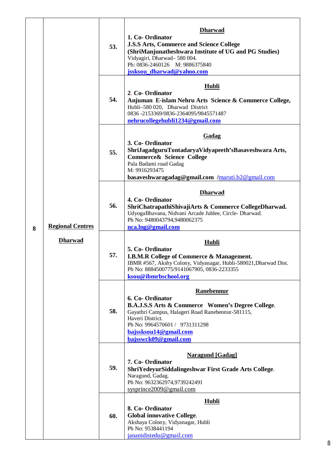| 8 | <b>Regional Centres</b><br><b>Dharwad</b> | 53. | <b>Dharwad</b><br>1. Co-Ordinator<br><b>J.S.S Arts, Commerce and Science College</b><br>(ShriManjunatheshwara Institute of UG and PG Studies)<br>Vidyagiri, Dharwad-580 004.<br>Ph: 0836-2460126 M: 9886375840<br>jssksou_dharwad@yahoo.com    |
|---|-------------------------------------------|-----|------------------------------------------------------------------------------------------------------------------------------------------------------------------------------------------------------------------------------------------------|
|   |                                           | 54. | <b>Hubli</b><br>2. Co-Ordinator<br>Anjuman E-islam Nehru Arts Science & Commerce College,<br>Hubli-580 020, Dharwad District<br>0836-2153369/0836-2364095/9845571487<br>nehrucollegehubli1234@gmail.com                                        |
|   |                                           | 55. | Gadag<br>3. Co-Ordinator<br>ShriJagadguruTontadaryaVidyapeeth'sBasaveshwara Arts,<br>Commerce& Science College<br>Pala Badami road Gadag<br>M: 9916293475<br>basaveshwaragadag@gmail.com /maruti.b2@gmail.com                                  |
|   |                                           | 56. | <b>Dharwad</b><br>4. Co-Ordinator<br>ShriChatrapathiShivajiArts & Commerce CollegeDharwad.<br>UdyogaBhavana, Nidvani Arcade Jublee, Circle- Dharwad.<br>Ph No: 9480043794,9480062375<br>nca.lng@gmail.com                                      |
|   |                                           | 57. | <b>Hubli</b><br>5. Co-Ordinator<br><b>I.B.M.R College of Commerce &amp; Management.</b><br>IBMR #567, Akshy Colony, Vidyanagar, Hubli-580021, Dharwad Dist.<br>Ph No: 8884500775/9141067905, 0836-2233355<br>ksou@ibmrbschool.org              |
|   |                                           | 58. | Ranebennur<br>6. Co-Ordinator<br>B.A.J.S.S Arts & Commerce Women's Degree College.<br>Gayathri Campus, Halageri Road Ranebennur-581115,<br>Haveri District.<br>Ph No: 9964570601 / 9731311298<br>bajssksou14@gmail.com<br>bajsswck09@gmail.com |
|   |                                           | 59. | <b>Naragund [Gadag]</b><br>7. Co-Ordinator<br>ShriYedeyurSiddalingeshwar First Grade Arts College.<br>Naragund, Gadag.<br>Ph No: 9632362974,9739242491<br>sysprince2009@gmail.com                                                              |
|   |                                           | 60. | <b>Hubli</b><br>8. Co-Ordinator<br><b>Global innovative College.</b><br>Akshaya Colony, Vidyanagar, Hubli<br>Ph No: 9538441194<br>jananidistedu@gmail.com                                                                                      |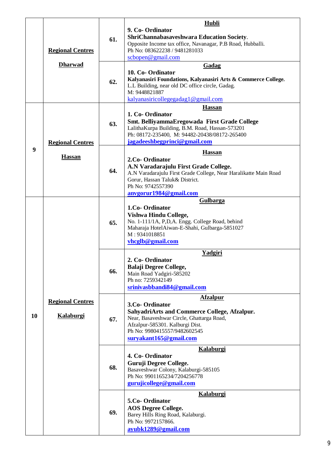|         |                                             |     | Hubli                                                                                                                                                                                                                               |
|---------|---------------------------------------------|-----|-------------------------------------------------------------------------------------------------------------------------------------------------------------------------------------------------------------------------------------|
|         | <b>Regional Centres</b>                     | 61. | 9. Co-Ordinator<br>ShriChannabasaveshwara Education Society.<br>Opposite Income tax office, Navanagar, P.B Road, Hubballi.<br>Ph No: 083622238 / 9481281033                                                                         |
|         |                                             |     | $\frac{\text{scbopen@gmail.com}}{$                                                                                                                                                                                                  |
|         | <b>Dharwad</b>                              | 62. | Gadag<br>10. Co-Ordinator<br>Kalyanasiri Foundations, Kalyanasiri Arts & Commerce College.<br>L.L Building, near old DC office circle, Gadag.<br>M: 9448821887<br>kalyanasiricollegegadag1@gmail.com                                |
|         | <b>Regional Centres</b>                     | 63. | <b>Hassan</b><br>1. Co-Ordinator<br>Smt. BelliyammaEregowada First Grade College<br>LalithaKurpa Building, B.M. Road, Hassan-573201<br>Ph: 08172-235400, M: 94482-20438/08172-265400<br>jagadeeshbegprinci@gmail.com                |
| 9<br>10 | <b>Hassan</b>                               | 64. | <b>Hassan</b><br>2.Co- Ordinator<br>A.N Varadarajulu First Grade College.<br>A.N Varadarajulu First Grade College, Near Haralikatte Main Road<br>Gorur, Hassan Taluk& District.<br>Ph No: 9742557390<br>anvgorur1984@gmail.com      |
|         | <b>Regional Centres</b><br><b>Kalaburgi</b> | 65. | Gulbarga<br>1.Co-Ordinator<br>Vishwa Hindu College,<br>No. 1-111/1A, P,D,A. Engg. College Road, behind<br>Maharaja HotelAiwan-E-Shahi, Gulbarga-5851027<br>M: 9341018851<br>vhcglb@gmail.com                                        |
|         |                                             | 66. | Yadgiri<br>2. Co-Ordinator<br><b>Balaji Degree College,</b><br>Main Road Yadgiri-585202<br>Ph no: 7259342149<br>srinivasbbandi84@gmail.com                                                                                          |
|         |                                             | 67. | <b>Afzalpur</b><br>3.Co- Ordinator<br><b>SahyadriArts and Commerce College, Afzalpur.</b><br>Near, Basaveshwar Circle, Ghattarga Road,<br>Afzalpur-585301. Kalburgi Dist.<br>Ph No: 9980415557/9482602545<br>suryakant165@gmail.com |
|         |                                             | 68. | <b>Kalaburgi</b><br>4. Co-Ordinator<br>Guruji Degree College.<br>Basaveshwar Colony, Kalaburgi-585105<br>Ph No: 9901165234/7204256778<br>gurujicollege@gmail.com                                                                    |
|         |                                             | 69. | Kalaburgi<br>5.Co- Ordinator<br><b>AOS Degree College.</b><br>Barey Hills Ring Road, Kalaburgi.<br>Ph No: 9972157866.<br>ayubk1289@gmail.com                                                                                        |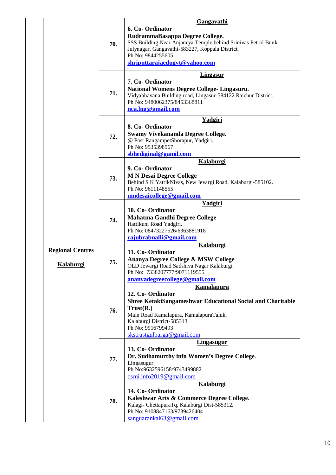|  |                                      | 70. | Gangavathi<br>6. Co-Ordinator<br>RudrammaBasappa Degree College.<br>SSS Building Near Anjaneya Temple behind Srinivas Petrol Bunk<br>Julynagar, Gangavathi-583227, Koppala District.<br>Ph No: 9844255605<br>shriputtarajaedugvt@yahoo.com |
|--|--------------------------------------|-----|--------------------------------------------------------------------------------------------------------------------------------------------------------------------------------------------------------------------------------------------|
|  |                                      |     | <b>Lingasur</b>                                                                                                                                                                                                                            |
|  |                                      | 71. | 7. Co-Ordinator<br>National Womens Degree College- Lingasuru.<br>Vidyabhavana Building road, Lingasur-584122 Raichur District.<br>Ph No: 9480062375/8453368811<br>nca.lng@gmail.com                                                        |
|  |                                      | 72. | Yadgiri<br>8. Co-Ordinator<br>Swamy Vivekananda Degree College.<br>@ Post RangampetShorapur, Yadgiri.<br>Ph No: 9535398567<br>sbhediginal@gamil.com                                                                                        |
|  |                                      |     | Kalaburgi                                                                                                                                                                                                                                  |
|  |                                      | 73. | 9. Co-Ordinator<br><b>M N Desai Degree College</b><br>Behind S K YatrikNivas, New Jevargi Road, Kalaburgi-585102.<br>Ph No: 9611148555<br>mndesaicollege@gmail.com                                                                         |
|  |                                      |     |                                                                                                                                                                                                                                            |
|  |                                      | 74. | <b>Yadgiri</b><br>10. Co-Ordinator<br><b>Mahatma Gandhi Degree College</b><br>Hattikuni Road Yadgiri.<br>Ph No: 08473227526/6363881918<br>rajubrabnalli@gmail.com                                                                          |
|  |                                      |     | <b>Kalaburgi</b>                                                                                                                                                                                                                           |
|  | <b>Regional Centres</b><br>Kalaburgi | 75. | 11. Co-Ordinator<br>Ananya Degree College & MSW College<br>OLD Jewargi Road Sadshiva Nagar Kalaburgi.<br>Ph No: 7338207777/9071119555<br>ananyadegreecollege@gmail.com                                                                     |
|  |                                      |     | <b>Kamalapura</b>                                                                                                                                                                                                                          |
|  |                                      | 76. | 12. Co-Ordinator<br><b>Shree KetakiSangameshwar Educational Social and Charitable</b><br>Trust(R.)<br>Main Road Kamalapura, KamalapuraTaluk,<br>Kalaburgi District-585313<br>Ph No: 9916799493<br>skstrustgulbarga@gmail.com               |
|  |                                      |     | <b>Lingasugur</b>                                                                                                                                                                                                                          |
|  |                                      | 77. | 13. Co-Ordinator<br>Dr. Sudhamurthy info Women's Degree College.<br>Lingasugur<br>Ph No:9632596158/9743499882<br>$d$ smi.info $2019@$ gmail.com                                                                                            |
|  |                                      |     | <b>Kalaburgi</b>                                                                                                                                                                                                                           |
|  |                                      | 78. | 14. Co-Ordinator<br>Kaleshwar Arts & Commerce Degree College.<br>Kalagi-ChettapuraTq, Kalaburgi Dist-585312.<br>Ph No: 9108847163/9739426404<br>sanguarankal63@gmail.com                                                                   |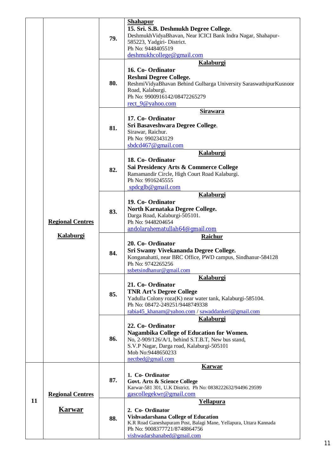|    |                         | 79. | <b>Shahapur</b><br>15. Sri. S.B. Deshmukh Degree College.<br>Deshmukh VidyaBhavan, Near ICICI Bank Indra Nagar, Shahapur-<br>585223, Yadgiri-District.<br>Ph No: 9448405519<br>deshmukhcollege@gmail.com                      |
|----|-------------------------|-----|-------------------------------------------------------------------------------------------------------------------------------------------------------------------------------------------------------------------------------|
|    |                         | 80. | Kalaburgi<br>16. Co-Ordinator<br><b>Reshmi Degree College.</b><br>ReshmiVidyaBhavan Behind Gulbarga University SaraswathipurKusnoor<br>Road, Kalaburgi.<br>Ph No: 9900916142/08472265279<br>rect 9@yahoo.com                  |
|    |                         | 81. | <b>Sirawara</b><br>17. Co-Ordinator<br>Sri Basaveshwara Degree College.<br>Sirawar, Raichur.<br>Ph No: 9902343129<br>$\boldsymbol{\mathrm{ s} b d c d467@}$ gmail.com                                                         |
|    |                         | 82. | <b>Kalaburgi</b><br>18. Co-Ordinator<br>Sai Presidency Arts & Commerce College<br>Ramamandir Circle, High Court Road Kalaburgi.<br>Ph No: 9916245555<br>spdcglb@gmail.com                                                     |
|    | <b>Regional Centres</b> | 83. | Kalaburgi<br>19. Co-Ordinator<br>North Karnataka Degree College.<br>Darga Road, Kalaburgi-505101.<br>Ph No: 9448204654<br>andolarahematullah64@qmail.com                                                                      |
|    | <b>Kalaburgi</b>        | 84. | Raichur<br>20. Co-Ordinator<br>Sri Swamy Vivekananda Degree College.<br>Konganahatti, near BRC Office, PWD campus, Sindhanur-584128<br>Ph No: 9742265256<br>ssbetsindhanur@gmail.com                                          |
|    |                         | 85. | <b>Kalaburgi</b><br>21. Co-Ordinator<br><b>TNR Art's Degree College</b><br>Yadulla Colony roza(K) near water tank, Kalaburgi-585104.<br>Ph No: 08472-249251/9448749338<br>rabia45 khanam@yahoo.com / sawaddankeri@gmail.com   |
|    |                         | 86. | <b>Kalaburgi</b><br>22. Co-Ordinator<br>Nagambika College of Education for Women.<br>No, 2-909/126/A/1, behind S.T.B.T, New bus stand,<br>S.V.P Nagar, Darga road, Kalaburgi-505101<br>Mob No:9448650233<br>nectbed@gmail.com |
|    | <b>Regional Centres</b> | 87. | <b>Karwar</b><br>1. Co-Ordinator<br>Govt. Arts & Science College<br>Karwar-581 301, U.K District. Ph No: 0838222632/94496 29599<br>gascollegekwr@gmail.com                                                                    |
| 11 | <b>Karwar</b>           | 88. | <b>Yellapura</b><br>2. Co-Ordinator<br><b>Vishvadarshana College of Education</b><br>K.R Road Ganeshapuram Post, Balagi Mane, Yellapura, Uttara Kannada<br>Ph No: 9008377721/8748864756<br>vishwadarshanabed@gmail.com        |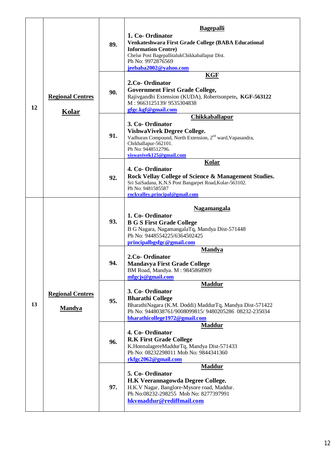| 12<br>13 | <b>Regional Centres</b><br><b>Kolar</b>  | 89. | <b>Bagepalli</b><br>1. Co-Ordinator<br>Venkateshwara First Grade College (BABA Educational<br><b>Information Centre)</b><br>Chelur Post BagepallitalukChikkaballapur Dist.<br>Ph No: 9972876569<br>jeebaba2002@yahoo.com         |
|----------|------------------------------------------|-----|----------------------------------------------------------------------------------------------------------------------------------------------------------------------------------------------------------------------------------|
|          |                                          | 90. | <b>KGF</b><br>2.Co-Ordinator<br><b>Government First Grade College,</b><br>Rajivgandhi Extension (KUDA), Robertsonpete, KGF-563122<br>M: 9663125139/9535304838<br>gfgc.kgf@gmail.com                                              |
|          |                                          | 91. | <b>Chikkaballapur</b><br>3. Co-Ordinator<br><b>VishwaVivek Degree College.</b><br>Vadhuran Compound, North Extension, 2 <sup>nd</sup> ward, Vapasandra,<br>Chikballapur-562101.<br>Ph No: 9448512796.<br>viswavivek125@gmail.com |
|          |                                          | 92. | Kolar<br>4. Co-Ordinator<br>Rock Vellay College of Science & Management Studies.<br>Sri SaiSadana, K.N.S Post Bangarpet Road, Kolar-563102.<br>Ph No: 9481585587<br>rockvalley.principal@gmail.com                               |
|          | <b>Regional Centres</b><br><b>Mandya</b> | 93. | <b>Nagamangala</b><br>1. Co-Ordinator<br><b>B G S First Grade College</b><br>B G Nagara, NagamangalaTq, Mandya Dist-571448<br>Ph No: 9448554225/6364502425<br>principalbgsfgc@gmail.com                                          |
|          |                                          | 94. | <b>Mandya</b><br>2.Co-Ordinator<br><b>Mandavya First Grade College</b><br>BM Road, Mandya. M: 9845868909<br>mfgcjs@gmail.com                                                                                                     |
|          |                                          | 95. | <b>Maddur</b><br>3. Co-Ordinator<br><b>Bharathi College</b><br>BharathiNagara (K.M. Doddi) MaddurTq, Mandya Dist-571422<br>Ph No: 9448038761/9008099815/9480205286 08232-235034<br>bharathicollege1972@gmail.com                 |
|          |                                          | 96. | <b>Maddur</b><br>4. Co-Ordinator<br><b>R.K First Grade College</b><br>K.HonnalagereMaddurTq, Mandya Dist-571433<br>Ph No: 08232298011 Mob No: 9844341360<br>rkfgc2062@gmail.com                                                  |
|          |                                          | 97. | <b>Maddur</b><br>5. Co-Ordinator<br>H.K Veerannagowda Degree College.<br>H.K.V Nagar, Banglore-Mysore road, Maddur.<br>Ph No:08232-298255 Mob No: 8277397991<br>hkvmaddur@rediffmail.com                                         |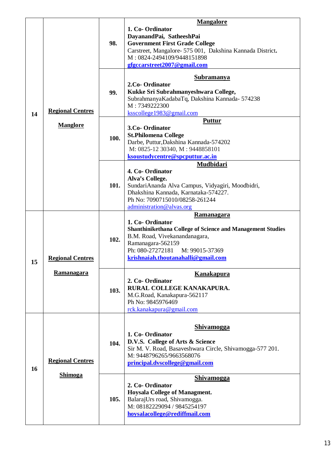|    |                                              |      | <b>Mangalore</b>                                                                                                                                                                                                                            |
|----|----------------------------------------------|------|---------------------------------------------------------------------------------------------------------------------------------------------------------------------------------------------------------------------------------------------|
|    |                                              | 98.  | 1. Co-Ordinator<br>DayanandPai, SatheeshPai<br><b>Government First Grade College</b><br>Carstreet, Mangalore- 575 001, Dakshina Kannada District.<br>M: 0824-2494109/9448151898<br>gfgccarstreet2007@gmail.com                              |
|    |                                              | 99.  | <b>Subramanya</b><br>2.Co- Ordinator<br>Kukke Sri Subrahmanyeshwara College,<br>SubrahmanyaKadabaTq, Dakshina Kannada-574238<br>M: 7349222300                                                                                               |
| 14 | <b>Regional Centres</b>                      |      | ksscollege1983@gmail.com                                                                                                                                                                                                                    |
|    | <b>Manglore</b>                              | 100. | <b>Puttur</b><br>3.Co- Ordinator<br><b>St.Philomena College</b><br>Darbe, Puttur, Dakshina Kannada-574202<br>M: 0825-12 30340, M: 9448858101<br>ksoustudycentre@spcputtur.ac.in                                                             |
|    |                                              | 101. | Mudbidari<br>4. Co-Ordinator<br>Alva's College.<br>SundariAnanda Alva Campus, Vidyagiri, Moodbidri,<br>Dhakshina Kannada, Karnataka-574227.<br>Ph No: 7090715010/08258-261244<br>administration@alvas.org                                   |
| 15 | <b>Regional Centres</b><br><b>Ramanagara</b> | 102. | <b>Ramanagara</b><br>1. Co-Ordinator<br><b>Shanthinikethana College of Science and Management Studies</b><br>B.M. Road, Vivekanandanagara,<br>Ramanagara-562159<br>Ph: 080-27272181<br>M: 99015-37369<br>krishnaiah.thoutanahalli@gmail.com |
|    |                                              | 103. | <b>Kanakapura</b><br>2. Co-Ordinator<br>RURAL COLLEGE KANAKAPURA.<br>M.G.Road, Kanakapura-562117<br>Ph No: 9845976469<br>rck.kanakapura@gmail.com                                                                                           |
| 16 | <b>Regional Centres</b><br><b>Shimoga</b>    | 104. | <b>Shivamogga</b><br>1. Co-Ordinator<br>D.V.S. College of Arts & Science<br>Sir M. V. Road, Basaveshwara Circle, Shivamogga-577 201.<br>M: 9448796265/9663568076<br>principal.dvscollege@gmail.com                                          |
|    |                                              | 105. | <b>Shivamogga</b><br>2. Co-Ordinator<br><b>Hoysala College of Managment.</b><br>BalarajUrs road, Shivamogga.<br>M: 08182229094 / 9845254197<br>hoysalacollege@rediffmail.com                                                                |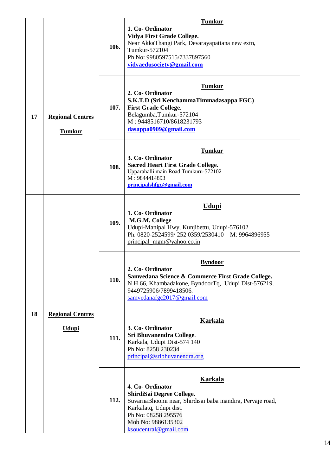|    |                                          |      | <b>Tumkur</b>                                                                                                                                                                                                               |
|----|------------------------------------------|------|-----------------------------------------------------------------------------------------------------------------------------------------------------------------------------------------------------------------------------|
| 17 | <b>Regional Centres</b><br><b>Tumkur</b> | 106. | 1. Co-Ordinator<br><b>Vidya First Grade College.</b><br>Near AkkaThangi Park, Devarayapattana new extn,<br>Tumkur-572104<br>Ph No: 9980597515/7337897560<br>vidyaedusociety@gmail.com                                       |
|    |                                          | 107. | <b>Tumkur</b><br>2. Co-Ordinator<br>S.K.T.D (Sri KenchammaTimmadasappa FGC)<br><b>First Grade College.</b><br>Belagumba, Tumkur-572104<br>M: 9448516710/8618231793<br>dasappa0909@gmail.com                                 |
|    |                                          | 108. | <b>Tumkur</b><br>3. Co-Ordinator<br><b>Sacred Heart First Grade College.</b><br>Upparahalli main Road Tumkuru-572102<br>M: 9844414893<br>principalshfgc@gmail.com                                                           |
| 18 | <b>Regional Centres</b><br><u>Udupi</u>  | 109. | <b>Udupi</b><br>1. Co-Ordinator<br>M.G.M. College<br>Udupi-Manipal Hwy, Kunjibettu, Udupi-576102<br>Ph: 0820-2524599/252 0359/2530410 M: 9964896955<br>principal mgm@yahoo.co.in                                            |
|    |                                          | 110. | <b>Byndoor</b><br>2. Co-Ordinator<br>Samvedana Science & Commerce First Grade College.<br>N H 66, Khambadakone, ByndoorTq, Udupi Dist-576219.<br>9449725906/7899418506.<br>samvedanafgc2017@gmail.com                       |
|    |                                          | 111. | <b>Karkala</b><br>3. Co-Ordinator<br>Sri Bhuvanendra College.<br>Karkala, Udupi Dist-574 140<br>Ph No: 8258 230234<br>principal@sribhuvanendra.org                                                                          |
|    |                                          | 112. | <b>Karkala</b><br>4. Co-Ordinator<br>ShirdiSai Degree College.<br>SuvarnaBhoomi near, Shirdisai baba mandira, Pervaje road,<br>Karkalatq, Udupi dist.<br>Ph No: 08258 295576<br>Mob No: 9886135302<br>ksoucentral@gmail.com |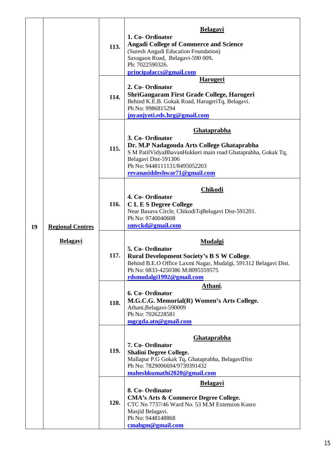| 19 | <b>Regional Centres</b><br><b>Belagavi</b> | 113. | <u>Belagavi</u><br>1. Co-Ordinator<br><b>Angadi College of Commerce and Science</b><br>(Suresh Angadi Education Foundation)<br>Savagaon Road, Belagavi-590 009.<br>Ph: 7022590326.<br>principalaccs@gmail.com                               |
|----|--------------------------------------------|------|---------------------------------------------------------------------------------------------------------------------------------------------------------------------------------------------------------------------------------------------|
|    |                                            | 114. | <b>Harogeri</b><br>2. Co-Ordinator<br>ShriGangaram First Grade College, Harugeri<br>Behind K.E.B. Gokak Road, HarugeriTq, Belagavi.<br>Ph No: 9986815294<br>jnyanjyoti.eds.hrg@gmail.com                                                    |
|    |                                            | 115. | <b>Ghataprabha</b><br>3. Co-Ordinator<br>Dr. M.P Nadagouda Arts College Ghataprabha<br>S M PatilVidyaBhavanHukkeri main road Ghataprabha, Gokak Tq,<br>Belagavi Dist-591306<br>Ph No: 9448111131/8495052203<br>revanasiddeshwar71@gmail.com |
|    |                                            | 116. | <b>Chikodi</b><br>4. Co-Ordinator<br><b>CLES Degree College</b><br>Near Basava Circle, ChikodiTqBelagavi Dist-591201.<br>Ph No: 9740040608<br>smyckd@gmail.com                                                                              |
|    |                                            | 117. | <b>Mudalgi</b><br>5. Co-Ordinator<br><b>Rural Development Society's B S W College.</b><br>Behind B.E.O Office Laxmi Nagar, Mudalgi, 591312 Belagavi Dist.<br>Ph No: 0833-4250386 M:8095559575<br>rdsmudalgi1992@gmail.com                   |
|    |                                            | 118. | Athani,<br>6. Co-Ordinator<br>M.G.C.G. Memorial(R) Women's Arts College.<br>Athani, Belagavi-590009<br>Ph No: 7026228581<br>mgcgda.atn@gmail.com                                                                                            |
|    |                                            | 119. | <b>Ghataprabha</b><br>7. Co-Ordinator<br><b>Shalini Degree College.</b><br>Mallapur P.G Gokak Tq, Ghataprabha, BelagaviDist<br>Ph No: 7829006694/9739391432<br>maheshkumathi2020@gmail.com                                                  |
|    |                                            | 120. | <b>Belagavi</b><br>8. Co-Ordinator<br><b>CMA's Arts &amp; Commerce Degree College.</b><br>CTC No 7737/46 Ward No. 53 M.M Extension Kusro<br>Masjid Belagavi.<br>Ph No: 9448148868<br>cmabgm@gmail.com                                       |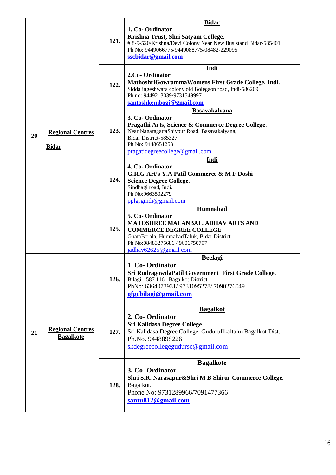| 20 | <b>Regional Centres</b><br><b>Bidar</b>     | 121. | <b>Bidar</b><br>1. Co-Ordinator<br>Krishna Trust, Shri Satyam College,<br># 8-9-520/Krishna/Devi Colony Near New Bus stand Bidar-585401<br>Ph No: 9449066775/9449088775/08482-229095<br>sscbidar@gmail.com                    |
|----|---------------------------------------------|------|-------------------------------------------------------------------------------------------------------------------------------------------------------------------------------------------------------------------------------|
|    |                                             | 122. | Indi<br>2.Co-Ordinator<br>MathoshriGowrammaWomens First Grade College, Indi.<br>Siddalingeshwara colony old Bolegaon road, Indi-586209.<br>Ph no: 9449213039/9731549997<br>santoshkembogi@gmail.com                           |
|    |                                             | 123. | <b>Basavakalyana</b><br>3. Co-Ordinator<br>Pragathi Arts, Science & Commerce Degree College.<br>Near NagaragattaShivpur Road, Basavakalyana,<br>Bidar District-585327.<br>Ph No: 9448651253<br>pragatidegreecollege@gmail.com |
|    |                                             | 124. | Indi<br>4. Co-Ordinator<br>G.R.G Art's Y.A Patil Commerce & M F Doshi<br><b>Science Degree College.</b><br>Sindhagi road, Indi.<br>Ph No:9663502279<br>pplgrgindi@gmail.com                                                   |
|    |                                             | 125. | Humnabad<br>5. Co-Ordinator<br>MATOSHREE MALANBAI JADHAV ARTS AND<br><b>COMMERCE DEGREE COLLEGE</b><br>GhataBorala, HumnabadTaluk, Bidar District.<br>Ph No:08483275686 / 9606750797<br>jadhav62625@gmail.com                 |
| 21 | <b>Regional Centres</b><br><b>Bagalkote</b> | 126. | <b>Beelagi</b><br>1. Co-Ordinator<br>Sri RudragowdaPatil Government First Grade College,<br>Bilagi - 587 116, Bagalkot District<br>PhNo: 6364073931/9731095278/7090276049<br>gfgcbilagi@gmail.com                             |
|    |                                             | 127. | <b>Bagalkot</b><br>2. Co-Ordinator<br><b>Sri Kalidasa Degree College</b><br>Sri Kalidasa Degree College, GuduruIlkaltalukBagalkot Dist.<br>Ph.No. 9448898226<br>skdegreecollegegudursc@gmail.com                              |
|    |                                             | 128. | <b>Bagalkote</b><br>3. Co-Ordinator<br>Shri S.R. Narasapur&Shri M B Shirur Commerce College.<br>Bagalkot.<br>Phone No: 9731289966/7091477366<br>santu812@gmail.com                                                            |